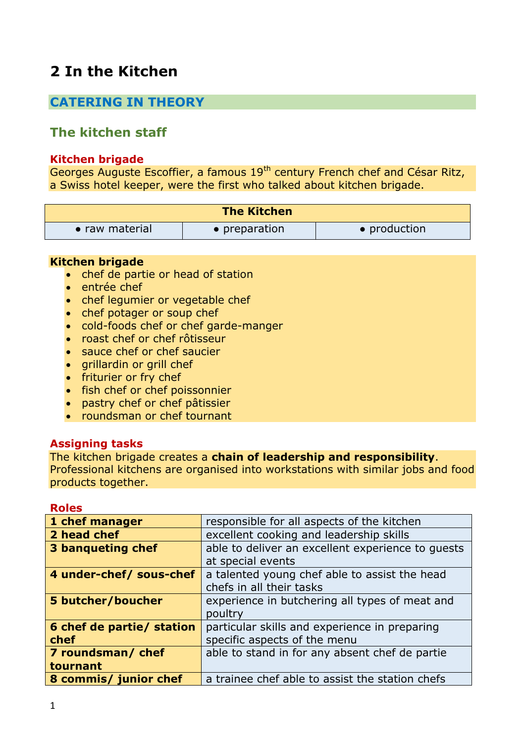# **2 In the Kitchen**

## **CATERING IN THEORY**

## **The kitchen staff**

### **Kitchen brigade**

Georges Auguste Escoffier, a famous 19<sup>th</sup> century French chef and César Ritz, a Swiss hotel keeper, were the first who talked about kitchen brigade.

| <b>The Kitchen</b> |               |              |
|--------------------|---------------|--------------|
| • raw material     | • preparation | • production |

#### **Kitchen brigade**

- chef de partie or head of station
- · entrée chef
- chef legumier or vegetable chef
- chef potager or soup chef
- cold-foods chef or chef garde-manger
- roast chef or chef rôtisseur
- sauce chef or chef saucier
- $\bullet$  grillardin or grill chef
- friturier or fry chef
- fish chef or chef poissonnier
- pastry chef or chef pâtissier
- roundsman or chef tournant

### **Assigning tasks**

The kitchen brigade creates a **chain of leadership and responsibility**. Professional kitchens are organised into workstations with similar jobs and food products together.

#### **Roles**

| 1 chef manager            | responsible for all aspects of the kitchen        |
|---------------------------|---------------------------------------------------|
| 2 head chef               | excellent cooking and leadership skills           |
| 3 banqueting chef         | able to deliver an excellent experience to quests |
|                           | at special events                                 |
| 4 under-chef/ sous-chef   | a talented young chef able to assist the head     |
|                           | chefs in all their tasks                          |
| 5 butcher/boucher         | experience in butchering all types of meat and    |
|                           | poultry                                           |
| 6 chef de partie/ station | particular skills and experience in preparing     |
| chef                      | specific aspects of the menu                      |
| 7 roundsman/ chef         | able to stand in for any absent chef de partie    |
| tournant                  |                                                   |
| 8 commis/ junior chef     | a trainee chef able to assist the station chefs   |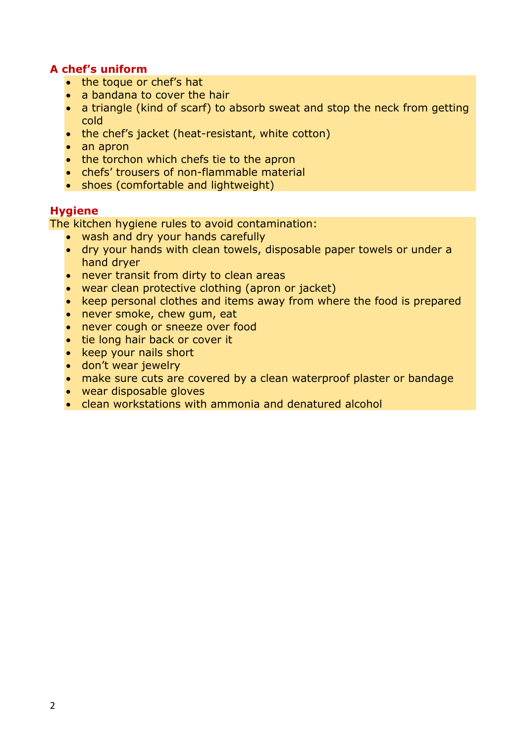### **A chef's uniform**

- the toque or chef's hat
- a bandana to cover the hair
- a triangle (kind of scarf) to absorb sweat and stop the neck from getting cold
- the chef's jacket (heat-resistant, white cotton)
- an apron
- the torchon which chefs tie to the apron
- chefs' trousers of non-flammable material
- shoes (comfortable and lightweight)

### **Hygiene**

The kitchen hygiene rules to avoid contamination:

- wash and dry your hands carefully
- dry your hands with clean towels, disposable paper towels or under a hand dryer
- never transit from dirty to clean areas
- wear clean protective clothing (apron or jacket)
- keep personal clothes and items away from where the food is prepared
- never smoke, chew gum, eat
- never cough or sneeze over food
- tie long hair back or cover it
- keep your nails short
- don't wear jewelry
- make sure cuts are covered by a clean waterproof plaster or bandage
- wear disposable gloves
- clean workstations with ammonia and denatured alcohol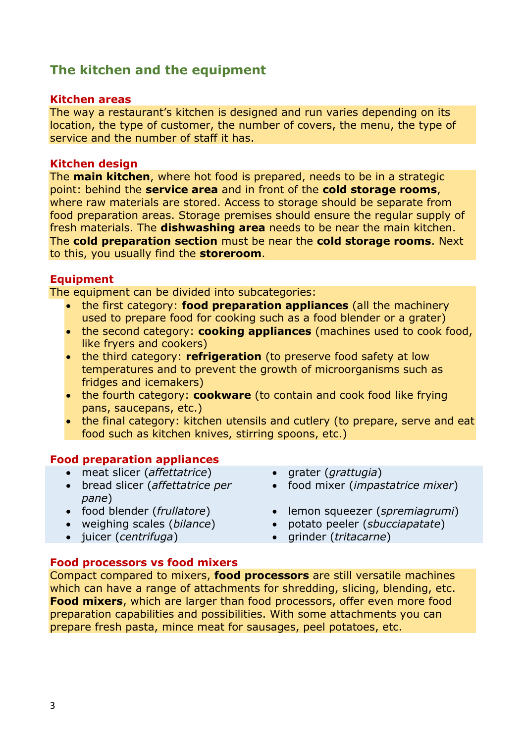## **The kitchen and the equipment**

#### **Kitchen areas**

The way a restaurant's kitchen is designed and run varies depending on its location, the type of customer, the number of covers, the menu, the type of service and the number of staff it has.

### **Kitchen design**

The **main kitchen**, where hot food is prepared, needs to be in a strategic point: behind the **service area** and in front of the **cold storage rooms**, where raw materials are stored. Access to storage should be separate from food preparation areas. Storage premises should ensure the regular supply of fresh materials. The **dishwashing area** needs to be near the main kitchen. The **cold preparation section** must be near the **cold storage rooms**. Next to this, you usually find the **storeroom**.

### **Equipment**

The equipment can be divided into subcategories:

- the first category: **food preparation appliances** (all the machinery used to prepare food for cooking such as a food blender or a grater)
- the second category: **cooking appliances** (machines used to cook food, like fryers and cookers)
- the third category: **refrigeration** (to preserve food safety at low temperatures and to prevent the growth of microorganisms such as fridges and icemakers)
- the fourth category: **cookware** (to contain and cook food like frying pans, saucepans, etc.)
- the final category: kitchen utensils and cutlery (to prepare, serve and eat food such as kitchen knives, stirring spoons, etc.)

### **Food preparation appliances**

- meat slicer (*affettatrice*) grater (*grattugia*)
- bread slicer (*affettatrice per pane*)<br>• food blender (*frullatore*)
- 
- 
- 
- 
- food mixer (*impastatrice mixer*)
- lemon squeezer (*spremiagrumi*)
- weighing scales (*bilance*) potato peeler (*sbucciapatate*)
- juicer (*centrifuga*) grinder (*tritacarne*)

#### **Food processors vs food mixers**

Compact compared to mixers, **food processors** are still versatile machines which can have a range of attachments for shredding, slicing, blending, etc. **Food mixers**, which are larger than food processors, offer even more food preparation capabilities and possibilities. With some attachments you can prepare fresh pasta, mince meat for sausages, peel potatoes, etc.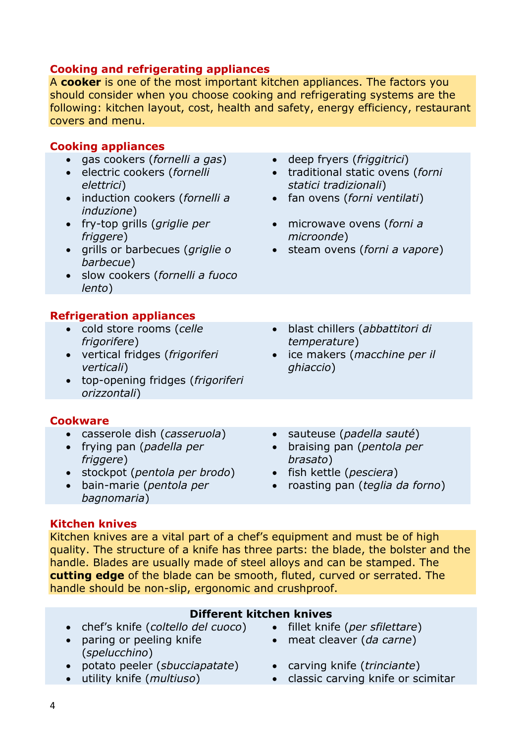### **Cooking and refrigerating appliances**

A **cooker** is one of the most important kitchen appliances. The factors you should consider when you choose cooking and refrigerating systems are the following: kitchen layout, cost, health and safety, energy efficiency, restaurant covers and menu.

### **Cooking appliances**

- gas cookers (*fornelli a gas*) deep fryers (*friggitrici*)
- electric cookers (*fornelli elettrici*)
- induction cookers (*fornelli a induzione*)
- fry-top grills (*griglie per friggere*)
- grills or barbecues (*griglie o barbecue*)
- slow cookers (*fornelli a fuoco lento*)

### **Refrigeration appliances**

- cold store rooms (*celle frigorifere*)
- vertical fridges (*frigoriferi verticali*)
- top-opening fridges (*frigoriferi orizzontali*)

#### **Cookware**

- casserole dish (*casseruola*) sauteuse (*padella sauté*)
- frying pan (*padella per friggere*)
- stockpot (*pentola per brodo*) fish kettle (*pesciera*)
- bain-marie (*pentola per bagnomaria*)
- 
- traditional static ovens (*forni statici tradizionali*)
- fan ovens (*forni ventilati*)
- microwave ovens (*forni a microonde*)
- steam ovens (*forni a vapore*)
- blast chillers (*abbattitori di temperature*)
- ice makers (*macchine per il ghiaccio*)
- 
- braising pan (*pentola per brasato*)
- 
- roasting pan (*teglia da forno*)

### **Kitchen knives**

Kitchen knives are a vital part of a chef's equipment and must be of high quality. The structure of a knife has three parts: the blade, the bolster and the handle. Blades are usually made of steel alloys and can be stamped. The **cutting edge** of the blade can be smooth, fluted, curved or serrated. The handle should be non-slip, ergonomic and crushproof.

### **Different kitchen knives**

- chef's knife (*coltello del cuoco*) fillet knife (*per sfilettare*)
- paring or peeling knife (*spelucchino*)
- potato peeler (*sbucciapatate*) carving knife (*trinciante*)
- 
- 
- meat cleaver (*da carne*)
- 
- utility knife (*multiuso*) classic carving knife or scimitar